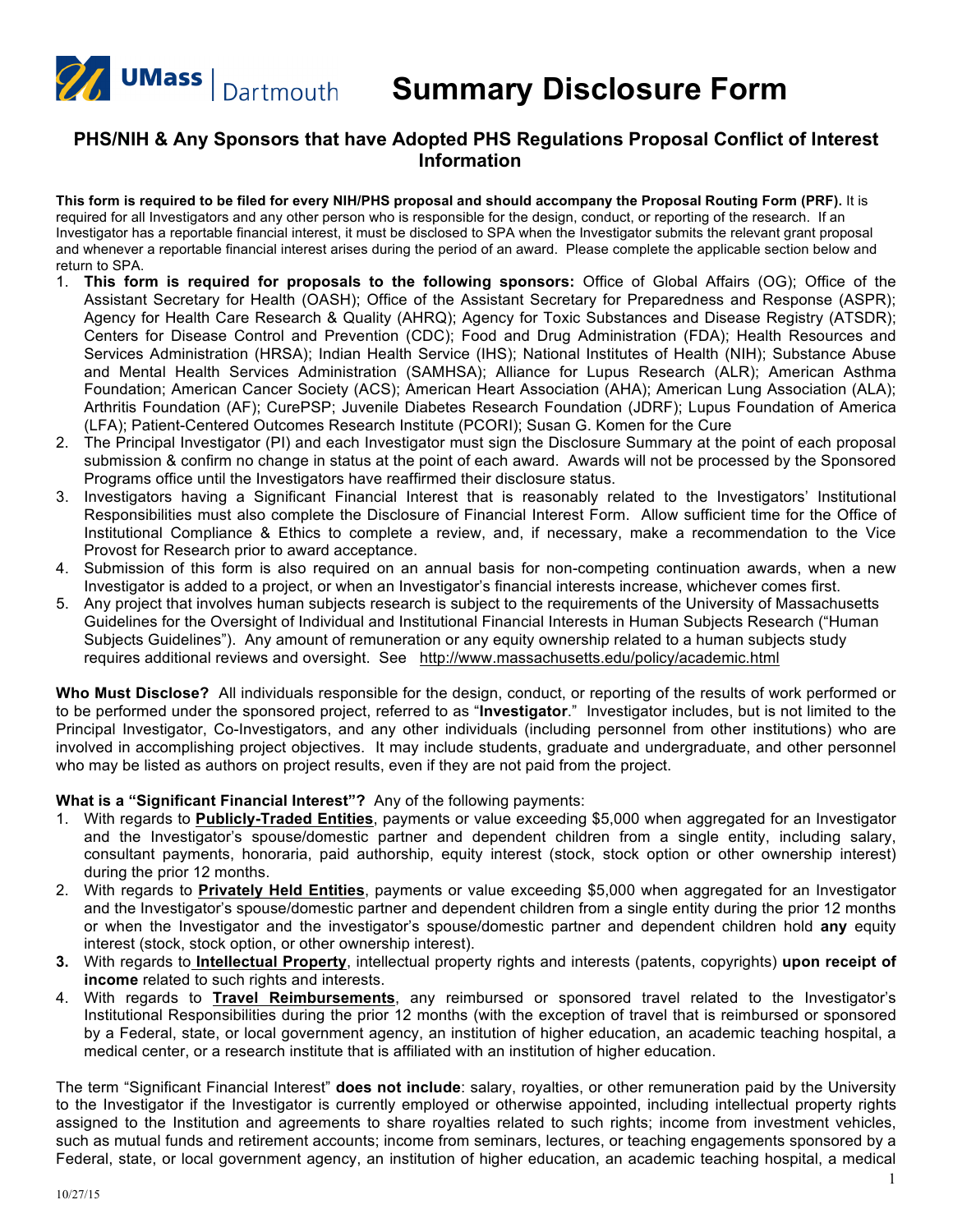

**Summary Disclosure Form**

## **PHS/NIH & Any Sponsors that have Adopted PHS Regulations Proposal Conflict of Interest Information**

This form is required to be filed for every NIH/PHS proposal and should accompany the Proposal Routing Form (PRF). It is required for all Investigators and any other person who is responsible for the design, conduct, or reporting of the research. If an Investigator has a reportable financial interest, it must be disclosed to SPA when the Investigator submits the relevant grant proposal and whenever a reportable financial interest arises during the period of an award. Please complete the applicable section below and return to SPA.

- 1. **This form is required for proposals to the following sponsors:** Office of Global Affairs (OG); Office of the Assistant Secretary for Health (OASH); Office of the Assistant Secretary for Preparedness and Response (ASPR); Agency for Health Care Research & Quality (AHRQ); Agency for Toxic Substances and Disease Registry (ATSDR); Centers for Disease Control and Prevention (CDC); Food and Drug Administration (FDA); Health Resources and Services Administration (HRSA); Indian Health Service (IHS); National Institutes of Health (NIH); Substance Abuse and Mental Health Services Administration (SAMHSA); Alliance for Lupus Research (ALR); American Asthma Foundation; American Cancer Society (ACS); American Heart Association (AHA); American Lung Association (ALA); Arthritis Foundation (AF); CurePSP; Juvenile Diabetes Research Foundation (JDRF); Lupus Foundation of America (LFA); Patient-Centered Outcomes Research Institute (PCORI); Susan G. Komen for the Cure
- 2. The Principal Investigator (PI) and each Investigator must sign the Disclosure Summary at the point of each proposal submission & confirm no change in status at the point of each award. Awards will not be processed by the Sponsored Programs office until the Investigators have reaffirmed their disclosure status.
- 3. Investigators having a Significant Financial Interest that is reasonably related to the Investigators' Institutional Responsibilities must also complete the Disclosure of Financial Interest Form. Allow sufficient time for the Office of Institutional Compliance & Ethics to complete a review, and, if necessary, make a recommendation to the Vice Provost for Research prior to award acceptance.
- 4. Submission of this form is also required on an annual basis for non-competing continuation awards, when a new Investigator is added to a project, or when an Investigator's financial interests increase, whichever comes first.
- 5. Any project that involves human subjects research is subject to the requirements of the University of Massachusetts Guidelines for the Oversight of Individual and Institutional Financial Interests in Human Subjects Research ("Human Subjects Guidelines"). Any amount of remuneration or any equity ownership related to a human subjects study requires additional reviews and oversight. See <http://www.massachusetts.edu/policy/academic.html>

**Who Must Disclose?** All individuals responsible for the design, conduct, or reporting of the results of work performed or to be performed under the sponsored project, referred to as "**Investigator**." Investigator includes, but is not limited to the Principal Investigator, Co-Investigators, and any other individuals (including personnel from other institutions) who are involved in accomplishing project objectives. It may include students, graduate and undergraduate, and other personnel who may be listed as authors on project results, even if they are not paid from the project.

**What is a "Significant Financial Interest"?** Any of the following payments:

- 1. With regards to **Publicly-Traded Entities**, payments or value exceeding \$5,000 when aggregated for an Investigator and the Investigator's spouse/domestic partner and dependent children from a single entity, including salary, consultant payments, honoraria, paid authorship, equity interest (stock, stock option or other ownership interest) during the prior 12 months.
- 2. With regards to **Privately Held Entities**, payments or value exceeding \$5,000 when aggregated for an Investigator and the Investigator's spouse/domestic partner and dependent children from a single entity during the prior 12 months or when the Investigator and the investigator's spouse/domestic partner and dependent children hold **any** equity interest (stock, stock option, or other ownership interest).
- **3.** With regards to **Intellectual Property**, intellectual property rights and interests (patents, copyrights) **upon receipt of income** related to such rights and interests.
- 4. With regards to **Travel Reimbursements**, any reimbursed or sponsored travel related to the Investigator's Institutional Responsibilities during the prior 12 months (with the exception of travel that is reimbursed or sponsored by a Federal, state, or local government agency, an institution of higher education, an academic teaching hospital, a medical center, or a research institute that is affiliated with an institution of higher education.

The term "Significant Financial Interest" **does not include**: salary, royalties, or other remuneration paid by the University to the Investigator if the Investigator is currently employed or otherwise appointed, including intellectual property rights assigned to the Institution and agreements to share royalties related to such rights; income from investment vehicles, such as mutual funds and retirement accounts; income from seminars, lectures, or teaching engagements sponsored by a Federal, state, or local government agency, an institution of higher education, an academic teaching hospital, a medical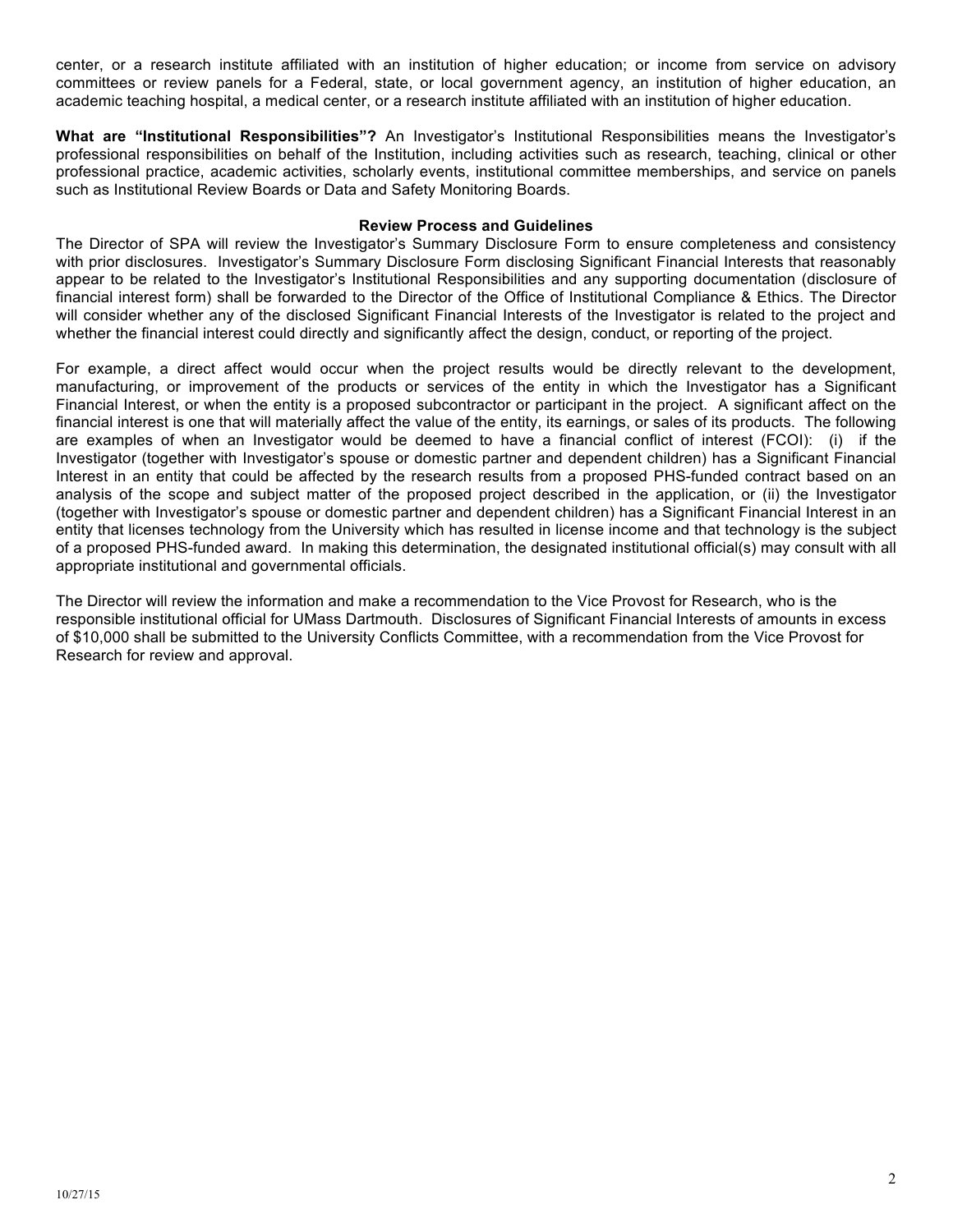center, or a research institute affiliated with an institution of higher education; or income from service on advisory committees or review panels for a Federal, state, or local government agency, an institution of higher education, an academic teaching hospital, a medical center, or a research institute affiliated with an institution of higher education.

**What are "Institutional Responsibilities"?** An Investigator's Institutional Responsibilities means the Investigator's professional responsibilities on behalf of the Institution, including activities such as research, teaching, clinical or other professional practice, academic activities, scholarly events, institutional committee memberships, and service on panels such as Institutional Review Boards or Data and Safety Monitoring Boards.

#### **Review Process and Guidelines**

The Director of SPA will review the Investigator's Summary Disclosure Form to ensure completeness and consistency with prior disclosures. Investigator's Summary Disclosure Form disclosing Significant Financial Interests that reasonably appear to be related to the Investigator's Institutional Responsibilities and any supporting documentation (disclosure of financial interest form) shall be forwarded to the Director of the Office of Institutional Compliance & Ethics. The Director will consider whether any of the disclosed Significant Financial Interests of the Investigator is related to the project and whether the financial interest could directly and significantly affect the design, conduct, or reporting of the project.

For example, a direct affect would occur when the project results would be directly relevant to the development, manufacturing, or improvement of the products or services of the entity in which the Investigator has a Significant Financial Interest, or when the entity is a proposed subcontractor or participant in the project. A significant affect on the financial interest is one that will materially affect the value of the entity, its earnings, or sales of its products. The following are examples of when an Investigator would be deemed to have a financial conflict of interest (FCOI): (i) if the Investigator (together with Investigator's spouse or domestic partner and dependent children) has a Significant Financial Interest in an entity that could be affected by the research results from a proposed PHS-funded contract based on an analysis of the scope and subject matter of the proposed project described in the application, or (ii) the Investigator (together with Investigator's spouse or domestic partner and dependent children) has a Significant Financial Interest in an entity that licenses technology from the University which has resulted in license income and that technology is the subject of a proposed PHS-funded award. In making this determination, the designated institutional official(s) may consult with all appropriate institutional and governmental officials.

The Director will review the information and make a recommendation to the Vice Provost for Research, who is the responsible institutional official for UMass Dartmouth. Disclosures of Significant Financial Interests of amounts in excess of \$10,000 shall be submitted to the University Conflicts Committee, with a recommendation from the Vice Provost for Research for review and approval.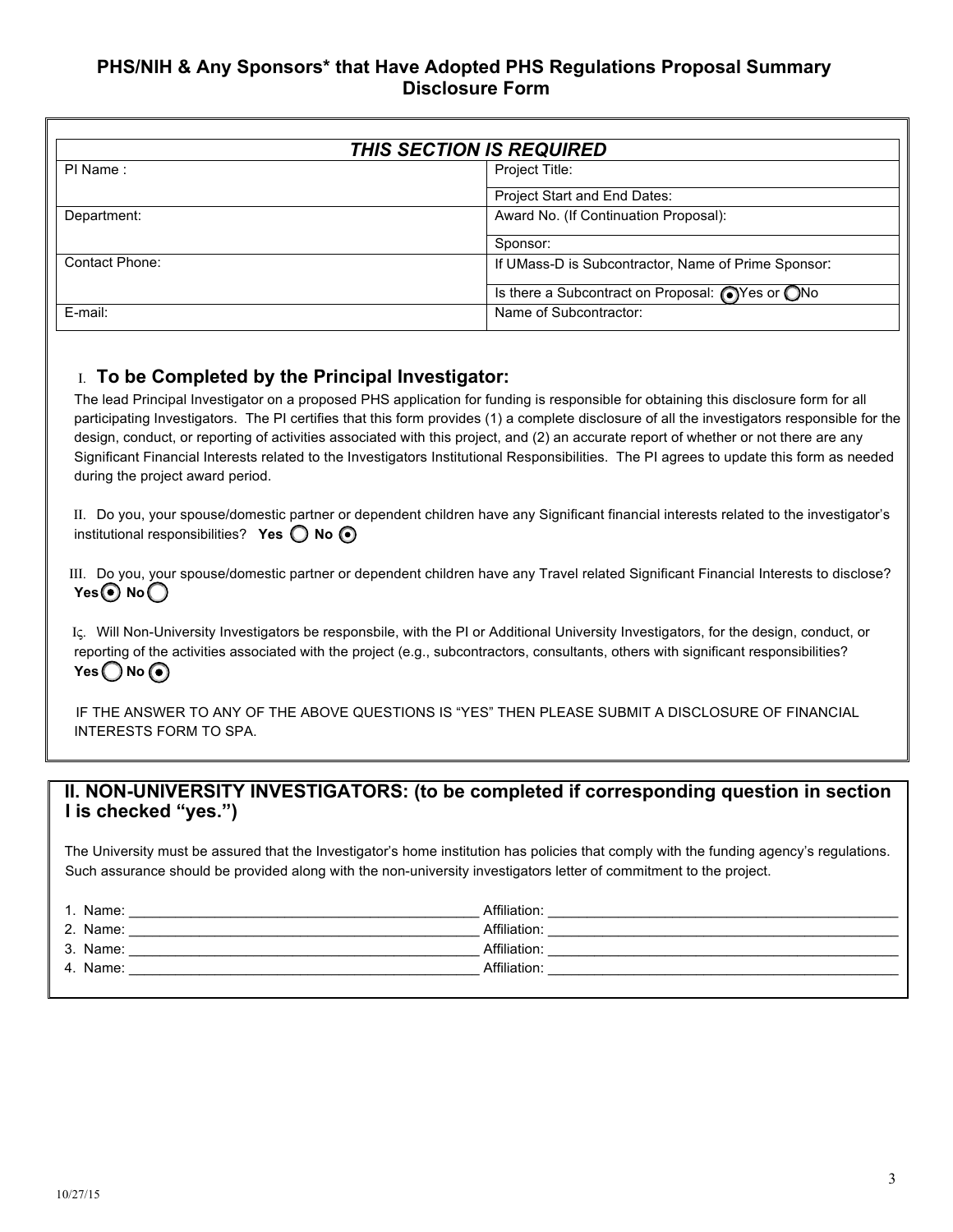# **PHS/NIH & Any Sponsors\* that Have Adopted PHS Regulations Proposal Summary Disclosure Form**

| <b>THIS SECTION IS REQUIRED</b> |                                                                     |  |
|---------------------------------|---------------------------------------------------------------------|--|
| PI Name:                        | Project Title:                                                      |  |
|                                 | Project Start and End Dates:                                        |  |
| Department:                     | Award No. (If Continuation Proposal):                               |  |
|                                 | Sponsor:                                                            |  |
| Contact Phone:                  | If UMass-D is Subcontractor, Name of Prime Sponsor:                 |  |
|                                 | Is there a Subcontract on Proposal: $\bigcirc$ Yes or $\bigcirc$ No |  |
| E-mail:                         | Name of Subcontractor:                                              |  |

# Ι. **To be Completed by the Principal Investigator:**

The lead Principal Investigator on a proposed PHS application for funding is responsible for obtaining this disclosure form for all participating Investigators. The PI certifies that this form provides (1) a complete disclosure of all the investigators responsible for the design, conduct, or reporting of activities associated with this project, and (2) an accurate report of whether or not there are any Significant Financial Interests related to the Investigators Institutional Responsibilities. The PI agrees to update this form as needed during the project award period.

ΙΙ. Do you, your spouse/domestic partner or dependent children have any Significant financial interests related to the investigator's institutional responsibilities? **Yes O No**  $\odot$ 

ΙΙΙ. Do you, your spouse/domestic partner or dependent children have any Travel related Significant Financial Interests to disclose? **Yes** No ◯

Ις. Will Non-University Investigators be responsbile, with the PI or Additional University Investigators, for the design, conduct, or reporting of the activities associated with the project (e.g., subcontractors, consultants, others with significant responsibilities?  $Yes$  No  $\odot$ 

IF THE ANSWER TO ANY OF THE ABOVE QUESTIONS IS "YES" THEN PLEASE SUBMIT A DISCLOSURE OF FINANCIAL INTERESTS FORM TO SPA.

## **II. NON-UNIVERSITY INVESTIGATORS: (to be completed if corresponding question in section I is checked "yes.")**

The University must be assured that the Investigator's home institution has policies that comply with the funding agency's regulations. Such assurance should be provided along with the non-university investigators letter of commitment to the project.

| 1. Name: | Affiliation: |
|----------|--------------|
| 2. Name: | Affiliation: |
| 3. Name: | Affiliation: |
| 4. Name: | Affiliation: |
|          |              |